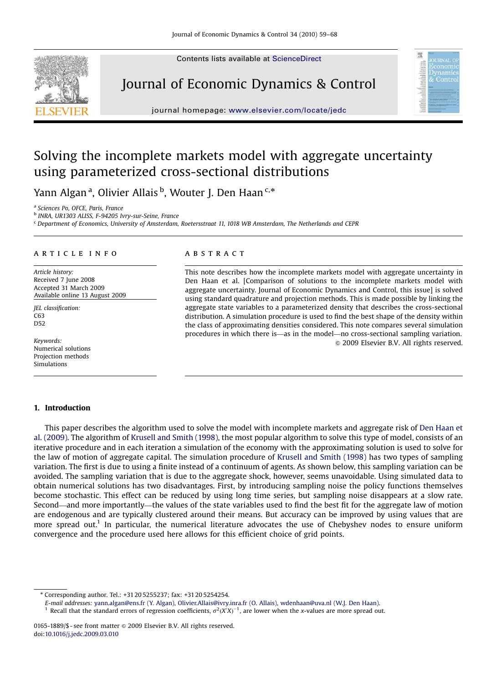Contents lists available at [ScienceDirect](www.sciencedirect.com/science/journal/dyncon)



## Journal of Economic Dynamics & Control



journal homepage: <www.elsevier.com/locate/jedc>

# Solving the incomplete markets model with aggregate uncertainty using parameterized cross-sectional distributions

Yann Algan <sup>a</sup>, Olivier Allais <sup>b</sup>, Wouter J. Den Haan <sup>c,</sup>\*

<sup>a</sup> Sciences Po, OFCE, Paris, France

<sup>b</sup> INRA, UR1303 ALISS, F-94205 Ivry-sur-Seine, France

<sup>c</sup> Department of Economics, University of Amsterdam, Roetersstraat 11, 1018 WB Amsterdam, The Netherlands and CEPR

### article info

Article history: Received 7 June 2008 Accepted 31 March 2009 Available online 13 August 2009

JEL classification: C63 D52

Keywords: Numerical solutions Projection methods Simulations

#### 1. Introduction

## **ABSTRACT**

This note describes how the incomplete markets model with aggregate uncertainty in Den Haan et al. [Comparison of solutions to the incomplete markets model with aggregate uncertainty. Journal of Economic Dynamics and Control, this issuel is solved using standard quadrature and projection methods. This is made possible by linking the aggregate state variables to a parameterized density that describes the cross-sectional distribution. A simulation procedure is used to find the best shape of the density within the class of approximating densities considered. This note compares several simulation procedures in which there is—as in the model—no cross-sectional sampling variation.  $© 2009 Elsevier B.V. All rights reserved.$ 

This paper describes the algorithm used to solve the model with incomplete markets and aggregate risk of [Den Haan et](#page--1-0) [al. \(2009\)](#page--1-0). The algorithm of [Krusell and Smith \(1998\),](#page--1-0) the most popular algorithm to solve this type of model, consists of an iterative procedure and in each iteration a simulation of the economy with the approximating solution is used to solve for the law of motion of aggregate capital. The simulation procedure of [Krusell and Smith \(1998\)](#page--1-0) has two types of sampling variation. The first is due to using a finite instead of a continuum of agents. As shown below, this sampling variation can be avoided. The sampling variation that is due to the aggregate shock, however, seems unavoidable. Using simulated data to obtain numerical solutions has two disadvantages. First, by introducing sampling noise the policy functions themselves become stochastic. This effect can be reduced by using long time series, but sampling noise disappears at a slow rate. Second—and more importantly—the values of the state variables used to find the best fit for the aggregate law of motion are endogenous and are typically clustered around their means. But accuracy can be improved by using values that are more spread out.<sup>1</sup> In particular, the numerical literature advocates the use of Chebyshev nodes to ensure uniform convergence and the procedure used here allows for this efficient choice of grid points.

E-mail addresses: [yann.algan@ens.fr \(Y. Algan\),](mailto:yann.algan@ens.fr) [Olivier.Allais@ivry.inra.fr \(O. Allais\)](mailto:Olivier.Allais@ivry.inra.fr), [wdenhaan@uva.nl \(W.J. Den Haan\).](mailto:wdenhaan@uva.nl)

<sup>1</sup> Recall that the standard errors of regression coefficients,  $\sigma^2(X'X)^{-1}$ , are lower when the x-values are more spread out.

<sup>-</sup> Corresponding author. Tel.: +31 20 5255237; fax: +31 20 5254254.

<sup>0165-1889/\$ -</sup> see front matter @ 2009 Elsevier B.V. All rights reserved. doi:[10.1016/j.jedc.2009.03.010](dx.doi.org/10.1016/j.jedc.2009.03.010)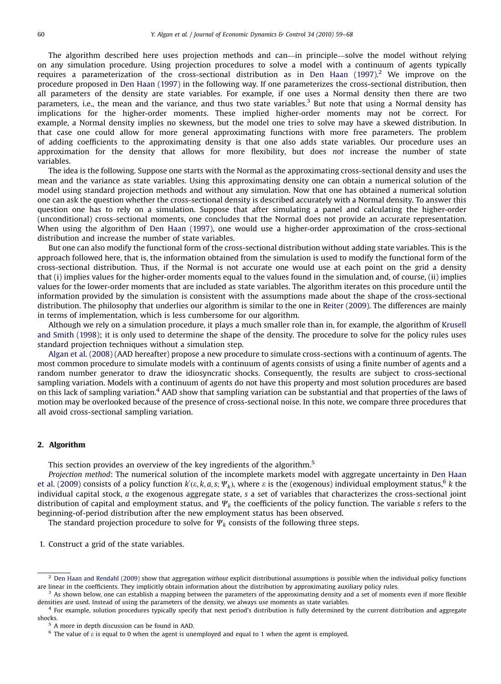The algorithm described here uses projection methods and can—in principle—solve the model without relying on any simulation procedure. Using projection procedures to solve a model with a continuum of agents typically requires a parameterization of the cross-sectional distribution as in [Den Haan \(1997\)](#page--1-0). <sup>2</sup> We improve on the procedure proposed in [Den Haan \(1997\)](#page--1-0) in the following way. If one parameterizes the cross-sectional distribution, then all parameters of the density are state variables. For example, if one uses a Normal density then there are two parameters, i.e., the mean and the variance, and thus two state variables.<sup>3</sup> But note that using a Normal density has implications for the higher-order moments. These implied higher-order moments may not be correct. For example, a Normal density implies no skewness, but the model one tries to solve may have a skewed distribution. In that case one could allow for more general approximating functions with more free parameters. The problem of adding coefficients to the approximating density is that one also adds state variables. Our procedure uses an approximation for the density that allows for more flexibility, but does not increase the number of state variables.

The idea is the following. Suppose one starts with the Normal as the approximating cross-sectional density and uses the mean and the variance as state variables. Using this approximating density one can obtain a numerical solution of the model using standard projection methods and without any simulation. Now that one has obtained a numerical solution one can ask the question whether the cross-sectional density is described accurately with a Normal density. To answer this question one has to rely on a simulation. Suppose that after simulating a panel and calculating the higher-order (unconditional) cross-sectional moments, one concludes that the Normal does not provide an accurate representation. When using the algorithm of [Den Haan \(1997\)](#page--1-0), one would use a higher-order approximation of the cross-sectional distribution and increase the number of state variables.

But one can also modify the functional form of the cross-sectional distribution without adding state variables. This is the approach followed here, that is, the information obtained from the simulation is used to modify the functional form of the cross-sectional distribution. Thus, if the Normal is not accurate one would use at each point on the grid a density that (i) implies values for the higher-order moments equal to the values found in the simulation and, of course, (ii) implies values for the lower-order moments that are included as state variables. The algorithm iterates on this procedure until the information provided by the simulation is consistent with the assumptions made about the shape of the cross-sectional distribution. The philosophy that underlies our algorithm is similar to the one in [Reiter \(2009\)](#page--1-0). The differences are mainly in terms of implementation, which is less cumbersome for our algorithm.

Although we rely on a simulation procedure, it plays a much smaller role than in, for example, the algorithm of [Krusell](#page--1-0) [and Smith \(1998\)](#page--1-0); it is only used to determine the shape of the density. The procedure to solve for the policy rules uses standard projection techniques without a simulation step.

[Algan et al. \(2008\)](#page--1-0) (AAD hereafter) propose a new procedure to simulate cross-sections with a continuum of agents. The most common procedure to simulate models with a continuum of agents consists of using a finite number of agents and a random number generator to draw the idiosyncratic shocks. Consequently, the results are subject to cross-sectional sampling variation. Models with a continuum of agents do not have this property and most solution procedures are based on this lack of sampling variation.<sup>4</sup> AAD show that sampling variation can be substantial and that properties of the laws of motion may be overlooked because of the presence of cross-sectional noise. In this note, we compare three procedures that all avoid cross-sectional sampling variation.

#### 2. Algorithm

This section provides an overview of the key ingredients of the algorithm.<sup>5</sup>

Projection method: The numerical solution of the incomplete markets model with aggregate uncertainty in [Den Haan](#page--1-0) [et al. \(2009\)](#page--1-0) consists of a policy function  $k'(e,k,a,s;\Psi_k)$ , where  $e$  is the (exogenous) individual employment status,  $^6$  k the individual capital stock, a the exogenous aggregate state, s a set of variables that characterizes the cross-sectional joint distribution of capital and employment status, and  $\Psi_k$  the coefficients of the policy function. The variable s refers to the beginning-of-period distribution after the new employment status has been observed.

The standard projection procedure to solve for  $\Psi_k$  consists of the following three steps.

1. Construct a grid of the state variables.

<sup>2</sup> [Den Haan and Rendahl \(2009\)](#page--1-0) show that aggregation without explicit distributional assumptions is possible when the individual policy functions are linear in the coefficients. They implicitly obtain information about the distribution by approximating auxiliary policy rules.

<sup>&</sup>lt;sup>3</sup> As shown below, one can establish a mapping between the parameters of the approximating density and a set of moments even if more flexible densities are used. Instead of using the parameters of the density, we always use moments as state variables.

<sup>&</sup>lt;sup>4</sup> For example, solution procedures typically specify that next period's distribution is fully determined by the current distribution and aggregate shocks.

<sup>5</sup> A more in depth discussion can be found in AAD.

 $6$  The value of  $\varepsilon$  is equal to 0 when the agent is unemployed and equal to 1 when the agent is employed.